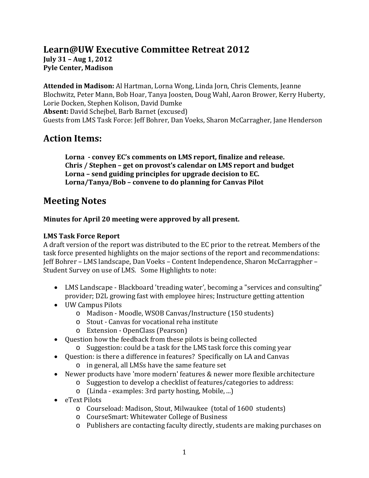# **Learn@UW Executive Committee Retreat 2012 July 31 – Aug 1, 2012 Pyle Center, Madison**

**Attended in Madison:** Al Hartman, Lorna Wong, Linda Jorn, Chris Clements, Jeanne Blochwitz, Peter Mann, Bob Hoar, Tanya Joosten, Doug Wahl, Aaron Brower, Kerry Huberty, Lorie Docken, Stephen Kolison, David Dumke **Absent:** David Schejbel, Barb Barnet (excused) Guests from LMS Task Force: Jeff Bohrer, Dan Voeks, Sharon McCarragher, Jane Henderson

# **Action Items:**

**Lorna - convey EC's comments on LMS report, finalize and release. Chris / Stephen – get on provost's calendar on LMS report and budget Lorna – send guiding principles for upgrade decision to EC. Lorna/Tanya/Bob – convene to do planning for Canvas Pilot**

# **Meeting Notes**

# **Minutes for April 20 meeting were approved by all present.**

# **LMS Task Force Report**

A draft version of the report was distributed to the EC prior to the retreat. Members of the task force presented highlights on the major sections of the report and recommendations: Jeff Bohrer – LMS landscape, Dan Voeks – Content Independence, Sharon McCarragpher – Student Survey on use of LMS. Some Highlights to note:

- LMS Landscape Blackboard 'treading water', becoming a "services and consulting" provider; D2L growing fast with employee hires; Instructure getting attention
- UW Campus Pilots
	- o Madison Moodle, WSOB Canvas/Instructure (150 students)
	- o Stout Canvas for vocational reha institute
	- o Extension OpenClass (Pearson)
- Question how the feedback from these pilots is being collected
	- o Suggestion: could be a task for the LMS task force this coming year
- Question: is there a difference in features? Specifically on LA and Canvas o in general, all LMSs have the same feature set
- Newer products have 'more modern' features & newer more flexible architecture
	- o Suggestion to develop a checklist of features/categories to address:
	- o (Linda examples: 3rd party hosting, Mobile, ...)
- eText Pilots
	- o Courseload: Madison, Stout, Milwaukee (total of 1600 students)
	- o CourseSmart: Whitewater College of Business
	- o Publishers are contacting faculty directly, students are making purchases on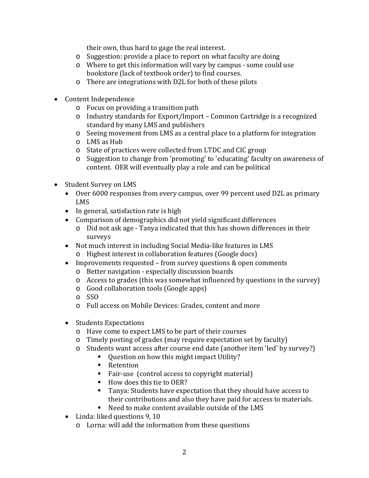their own, thus hard to gage the real interest.

- o Suggestion: provide a place to report on what faculty are doing
- o Where to get this information will vary by campus some could use bookstore (lack of textbook order) to find courses.
- o There are integrations with D2L for both of these pilots
- Content Independence
	- o Focus on providing a transition path
	- o Industry standards for Export/Import Common Cartridge is a recognized standard by many LMS and publishers
	- o Seeing movement from LMS as a central place to a platform for integration
	- o LMS as Hub
	- o State of practices were collected from LTDC and CIC group
	- o Suggestion to change from 'promoting' to 'educating' faculty on awareness of content. OER will eventually play a role and can be political
- Student Survey on LMS
	- Over 6000 responses from every campus, over 99 percent used D2L as primary LMS
	- In general, satisfaction rate is high
	- Comparison of demographics did not yield significant differences
		- o Did not ask age Tanya indicated that this has shown differences in their surveys
	- Not much interest in including Social Media-like features in LMS
		- o Highest interest in collaboration features (Google docs)
	- Improvements requested from survey questions & open comments
		- o Better navigation especially discussion boards
		- o Access to grades (this was somewhat influenced by questions in the survey)
		- o Good collaboration tools (Google apps)
		- o SSO
		- o Full access on Mobile Devices: Grades, content and more
	- Students Expectations
		- o Have come to expect LMS to be part of their courses
		- o Timely posting of grades (may require expectation set by faculty)
		- o Students want access after course end date (another item 'led' by survey?)
			- Question on how this might impact Utility?
			- **Retention**
			- Fair-use (control access to copyright material)
			- How does this tie to OER?
			- Tanya: Students have expectation that they should have access to their contributions and also they have paid for access to materials.
			- Need to make content available outside of the LMS
	- Linda: liked questions 9, 10
		- o Lorna: will add the information from these questions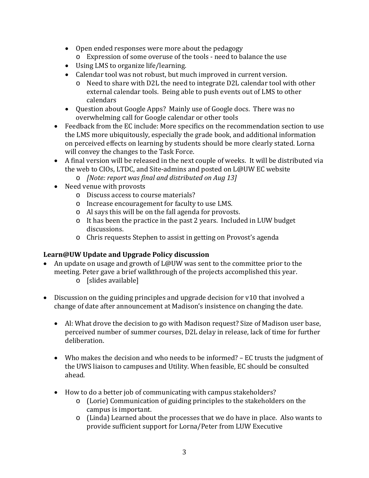- Open ended responses were more about the pedagogy
	- o Expression of some overuse of the tools need to balance the use
- Using LMS to organize life/learning.
- Calendar tool was not robust, but much improved in current version.
	- o Need to share with D2L the need to integrate D2L calendar tool with other external calendar tools. Being able to push events out of LMS to other calendars
- Question about Google Apps? Mainly use of Google docs. There was no overwhelming call for Google calendar or other tools
- Feedback from the EC include: More specifics on the recommendation section to use the LMS more ubiquitously, especially the grade book, and additional information on perceived effects on learning by students should be more clearly stated. Lorna will convey the changes to the Task Force.
- A final version will be released in the next couple of weeks. It will be distributed via the web to CIOs, LTDC, and Site-admins and posted on L@UW EC website
	- o *[Note: report was final and distributed on Aug 13]*
- Need venue with provosts
	- o Discuss access to course materials?
	- o Increase encouragement for faculty to use LMS.
	- o Al says this will be on the fall agenda for provosts.
	- o It has been the practice in the past 2 years. Included in LUW budget discussions.
	- o Chris requests Stephen to assist in getting on Provost's agenda

# **Learn@UW Update and Upgrade Policy discussion**

- An update on usage and growth of L@UW was sent to the committee prior to the meeting. Peter gave a brief walkthrough of the projects accomplished this year.
	- o [slides available]
- Discussion on the guiding principles and upgrade decision for v10 that involved a change of date after announcement at Madison's insistence on changing the date.
	- Al: What drove the decision to go with Madison request? Size of Madison user base, perceived number of summer courses, D2L delay in release, lack of time for further deliberation.
	- Who makes the decision and who needs to be informed? EC trusts the judgment of the UWS liaison to campuses and Utility. When feasible, EC should be consulted ahead.
	- How to do a better job of communicating with campus stakeholders?
		- o (Lorie) Communication of guiding principles to the stakeholders on the campus is important.
		- o (Linda) Learned about the processes that we do have in place. Also wants to provide sufficient support for Lorna/Peter from LUW Executive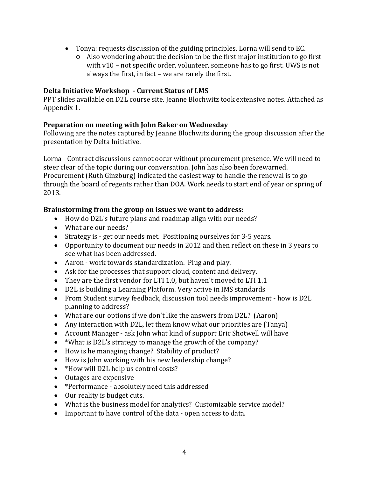- Tonya: requests discussion of the guiding principles. Lorna will send to EC.
	- o Also wondering about the decision to be the first major institution to go first with v10 – not specific order, volunteer, someone has to go first. UWS is not always the first, in fact – we are rarely the first.

### **Delta Initiative Workshop - Current Status of LMS**

PPT slides available on D2L course site. Jeanne Blochwitz took extensive notes. Attached as Appendix 1.

# **Preparation on meeting with John Baker on Wednesday**

Following are the notes captured by Jeanne Blochwitz during the group discussion after the presentation by Delta Initiative.

Lorna - Contract discussions cannot occur without procurement presence. We will need to steer clear of the topic during our conversation. John has also been forewarned. Procurement (Ruth Ginzburg) indicated the easiest way to handle the renewal is to go through the board of regents rather than DOA. Work needs to start end of year or spring of 2013.

# **Brainstorming from the group on issues we want to address:**

- How do D2L's future plans and roadmap align with our needs?
- What are our needs?
- Strategy is get our needs met. Positioning ourselves for 3-5 years.
- Opportunity to document our needs in 2012 and then reflect on these in 3 years to see what has been addressed.
- Aaron work towards standardization. Plug and play.
- Ask for the processes that support cloud, content and delivery.
- They are the first vendor for LTI 1.0, but haven't moved to LTI 1.1
- D2L is building a Learning Platform. Very active in IMS standards
- From Student survey feedback, discussion tool needs improvement how is D2L planning to address?
- What are our options if we don't like the answers from D2L? (Aaron)
- Any interaction with D2L, let them know what our priorities are (Tanya)
- Account Manager ask John what kind of support Eric Shotwell will have
- \*What is D2L's strategy to manage the growth of the company?
- How is he managing change? Stability of product?
- How is John working with his new leadership change?
- \*How will D2L help us control costs?
- Outages are expensive
- \*Performance absolutely need this addressed
- Our reality is budget cuts.
- What is the business model for analytics? Customizable service model?
- Important to have control of the data open access to data.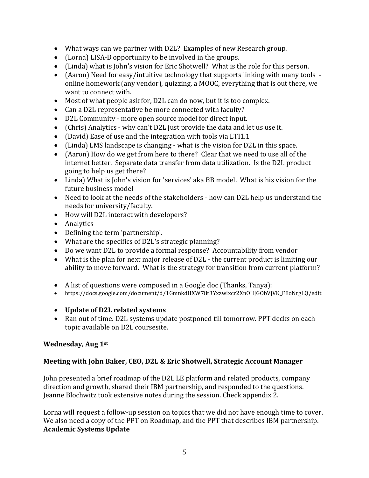- What ways can we partner with D2L? Examples of new Research group.
- (Lorna) LISA-B opportunity to be involved in the groups.
- (Linda) what is John's vision for Eric Shotwell? What is the role for this person.
- (Aaron) Need for easy/intuitive technology that supports linking with many tools online homework (any vendor), quizzing, a MOOC, everything that is out there, we want to connect with.
- Most of what people ask for, D2L can do now, but it is too complex.
- Can a D2L representative be more connected with faculty?
- D2L Community more open source model for direct input.
- (Chris) Analytics why can't D2L just provide the data and let us use it.
- (David) Ease of use and the integration with tools via LTI1.1
- (Linda) LMS landscape is changing what is the vision for D2L in this space.
- (Aaron) How do we get from here to there? Clear that we need to use all of the internet better. Separate data transfer from data utilization. Is the D2L product going to help us get there?
- Linda) What is John's vision for 'services' aka BB model. What is his vision for the future business model
- Need to look at the needs of the stakeholders how can D2L help us understand the needs for university/faculty.
- How will D2L interact with developers?
- Analytics
- Defining the term 'partnership'.
- What are the specifics of D2L's strategic planning?
- Do we want D2L to provide a formal response? Accountability from vendor
- What is the plan for next major release of D2L the current product is limiting our ability to move forward. What is the strategy for transition from current platform?
- A list of questions were composed in a Google doc (Thanks, Tanya):
- [https://docs.google.com/document/d/1GmnkdIIXW78t3Yxzwlxcr2XnOHJGObVjVK\\_F8oNrgLQ/edit](https://docs.google.com/document/d/1GmnkdIIXW78t3Yxzwlxcr2XnOHJGObVjVK_F8oNrgLQ/edit)
- **Update of D2L related systems**
- Ran out of time. D2L systems update postponed till tomorrow. PPT decks on each topic available on D2L coursesite.

# **Wednesday, Aug 1st**

# **Meeting with John Baker, CEO, D2L & Eric Shotwell, Strategic Account Manager**

John presented a brief roadmap of the D2L LE platform and related products, company direction and growth, shared their IBM partnership, and responded to the questions. Jeanne Blochwitz took extensive notes during the session. Check appendix 2.

Lorna will request a follow-up session on topics that we did not have enough time to cover. We also need a copy of the PPT on Roadmap, and the PPT that describes IBM partnership. **Academic Systems Update**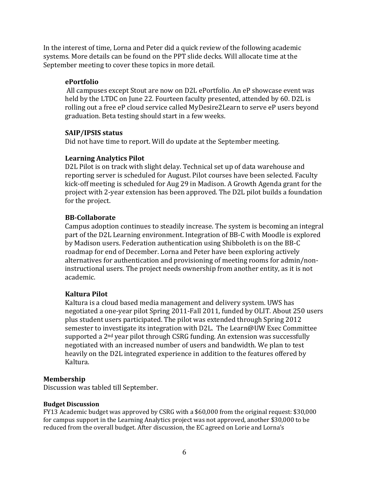In the interest of time, Lorna and Peter did a quick review of the following academic systems. More details can be found on the PPT slide decks. Will allocate time at the September meeting to cover these topics in more detail.

### **ePortfolio**

All campuses except Stout are now on D2L ePortfolio. An eP showcase event was held by the LTDC on June 22. Fourteen faculty presented, attended by 60. D2L is rolling out a free eP cloud service called MyDesire2Learn to serve eP users beyond graduation. Beta testing should start in a few weeks.

### **SAIP/IPSIS status**

Did not have time to report. Will do update at the September meeting.

# **Learning Analytics Pilot**

D2L Pilot is on track with slight delay. Technical set up of data warehouse and reporting server is scheduled for August. Pilot courses have been selected. Faculty kick-off meeting is scheduled for Aug 29 in Madison. A Growth Agenda grant for the project with 2-year extension has been approved. The D2L pilot builds a foundation for the project.

# **BB-Collaborate**

Campus adoption continues to steadily increase. The system is becoming an integral part of the D2L Learning environment. Integration of BB-C with Moodle is explored by Madison users. Federation authentication using Shibboleth is on the BB-C roadmap for end of December. Lorna and Peter have been exploring actively alternatives for authentication and provisioning of meeting rooms for admin/noninstructional users. The project needs ownership from another entity, as it is not academic.

# **Kaltura Pilot**

Kaltura is a cloud based media management and delivery system. UWS has negotiated a one-year pilot Spring 2011-Fall 2011, funded by OLIT. About 250 users plus student users participated. The pilot was extended through Spring 2012 semester to investigate its integration with D2L. The Learn@UW Exec Committee supported a 2<sup>nd</sup> year pilot through CSRG funding. An extension was successfully negotiated with an increased number of users and bandwidth. We plan to test heavily on the D2L integrated experience in addition to the features offered by Kaltura.

### **Membership**

Discussion was tabled till September.

#### **Budget Discussion**

FY13 Academic budget was approved by CSRG with a \$60,000 from the original request: \$30,000 for campus support in the Learning Analytics project was not approved, another \$30,000 to be reduced from the overall budget. After discussion, the EC agreed on Lorie and Lorna's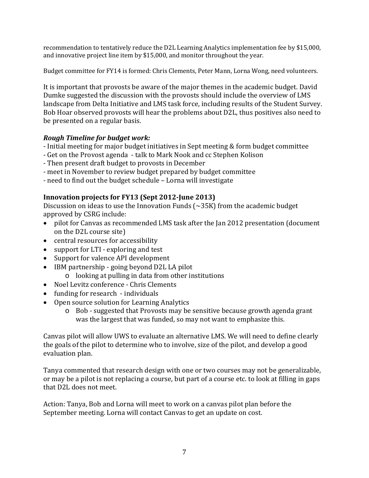recommendation to tentatively reduce the D2L Learning Analytics implementation fee by \$15,000, and innovative project line item by \$15,000, and monitor throughout the year.

Budget committee for FY14 is formed: Chris Clements, Peter Mann, Lorna Wong, need volunteers.

It is important that provosts be aware of the major themes in the academic budget. David Dumke suggested the discussion with the provosts should include the overview of LMS landscape from Delta Initiative and LMS task force, including results of the Student Survey. Bob Hoar observed provosts will hear the problems about D2L, thus positives also need to be presented on a regular basis.

# *Rough Timeline for budget work:*

- Initial meeting for major budget initiatives in Sept meeting & form budget committee
- Get on the Provost agenda talk to Mark Nook and cc Stephen Kolison
- Then present draft budget to provosts in December
- meet in November to review budget prepared by budget committee
- need to find out the budget schedule Lorna will investigate

# **Innovation projects for FY13 (Sept 2012-June 2013)**

Discussion on ideas to use the Innovation Funds  $(\sim 35K)$  from the academic budget approved by CSRG include:

- pilot for Canvas as recommended LMS task after the Jan 2012 presentation (document on the D2L course site)
- central resources for accessibility
- support for LTI exploring and test
- Support for valence API development
- IBM partnership going beyond D2L LA pilot o looking at pulling in data from other institutions
- Noel Levitz conference Chris Clements
- funding for research individuals
- Open source solution for Learning Analytics
	- o Bob suggested that Provosts may be sensitive because growth agenda grant was the largest that was funded, so may not want to emphasize this.

Canvas pilot will allow UWS to evaluate an alternative LMS. We will need to define clearly the goals of the pilot to determine who to involve, size of the pilot, and develop a good evaluation plan.

Tanya commented that research design with one or two courses may not be generalizable, or may be a pilot is not replacing a course, but part of a course etc. to look at filling in gaps that D2L does not meet.

Action: Tanya, Bob and Lorna will meet to work on a canvas pilot plan before the September meeting. Lorna will contact Canvas to get an update on cost.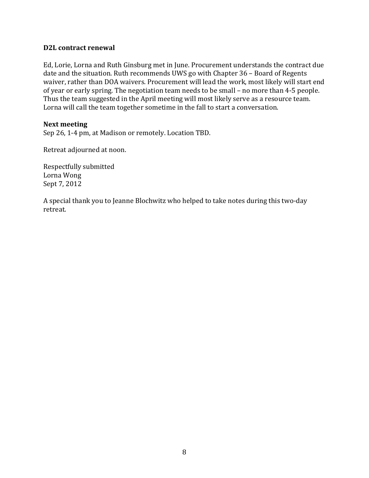### **D2L contract renewal**

Ed, Lorie, Lorna and Ruth Ginsburg met in June. Procurement understands the contract due date and the situation. Ruth recommends UWS go with Chapter 36 – Board of Regents waiver, rather than DOA waivers. Procurement will lead the work, most likely will start end of year or early spring. The negotiation team needs to be small – no more than 4-5 people. Thus the team suggested in the April meeting will most likely serve as a resource team. Lorna will call the team together sometime in the fall to start a conversation.

### **Next meeting**

Sep 26, 1-4 pm, at Madison or remotely. Location TBD.

Retreat adjourned at noon.

Respectfully submitted Lorna Wong Sept 7, 2012

A special thank you to Jeanne Blochwitz who helped to take notes during this two-day retreat.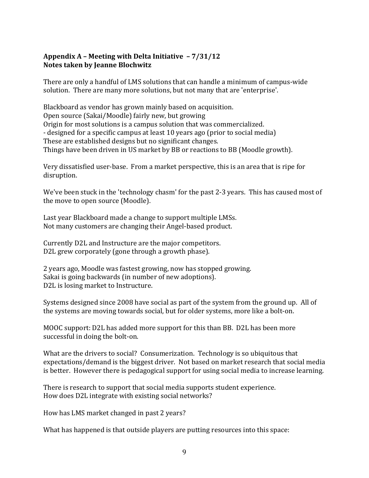# **Appendix A – Meeting with Delta Initiative – 7/31/12 Notes taken by Jeanne Blochwitz**

There are only a handful of LMS solutions that can handle a minimum of campus-wide solution. There are many more solutions, but not many that are 'enterprise'.

Blackboard as vendor has grown mainly based on acquisition. Open source (Sakai/Moodle) fairly new, but growing Origin for most solutions is a campus solution that was commercialized. - designed for a specific campus at least 10 years ago (prior to social media) These are established designs but no significant changes. Things have been driven in US market by BB or reactions to BB (Moodle growth).

Very dissatisfied user-base. From a market perspective, this is an area that is ripe for disruption.

We've been stuck in the 'technology chasm' for the past 2-3 years. This has caused most of the move to open source (Moodle).

Last year Blackboard made a change to support multiple LMSs. Not many customers are changing their Angel-based product.

Currently D2L and Instructure are the major competitors. D2L grew corporately (gone through a growth phase).

2 years ago, Moodle was fastest growing, now has stopped growing. Sakai is going backwards (in number of new adoptions). D2L is losing market to Instructure.

Systems designed since 2008 have social as part of the system from the ground up. All of the systems are moving towards social, but for older systems, more like a bolt-on.

MOOC support: D2L has added more support for this than BB. D2L has been more successful in doing the bolt-on.

What are the drivers to social? Consumerization. Technology is so ubiquitous that expectations/demand is the biggest driver. Not based on market research that social media is better. However there is pedagogical support for using social media to increase learning.

There is research to support that social media supports student experience. How does D2L integrate with existing social networks?

How has LMS market changed in past 2 years?

What has happened is that outside players are putting resources into this space: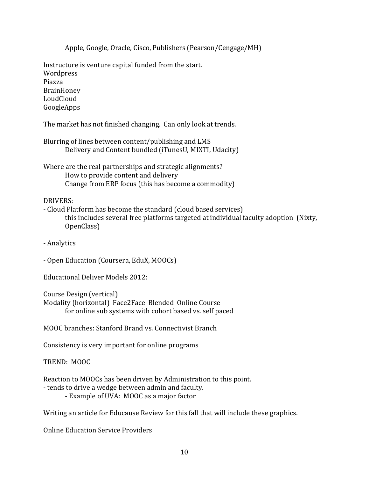Apple, Google, Oracle, Cisco, Publishers (Pearson/Cengage/MH)

Instructure is venture capital funded from the start. Wordpress Piazza BrainHoney LoudCloud GoogleApps

The market has not finished changing. Can only look at trends.

| Blurring of lines between content/publishing and LMS   |
|--------------------------------------------------------|
| Delivery and Content bundled (iTunesU, MIXTI, Udacity) |

Where are the real partnerships and strategic alignments? How to provide content and delivery Change from ERP focus (this has become a commodity)

### DRIVERS:

- Cloud Platform has become the standard (cloud based services) this includes several free platforms targeted at individual faculty adoption (Nixty, OpenClass)

- Analytics

- Open Education (Coursera, EduX, MOOCs)

Educational Deliver Models 2012:

Course Design (vertical) Modality (horizontal) Face2Face Blended Online Course for online sub systems with cohort based vs. self paced

MOOC branches: Stanford Brand vs. Connectivist Branch

Consistency is very important for online programs

TREND: MOOC

Reaction to MOOCs has been driven by Administration to this point.

- tends to drive a wedge between admin and faculty.

- Example of UVA: MOOC as a major factor

Writing an article for Educause Review for this fall that will include these graphics.

Online Education Service Providers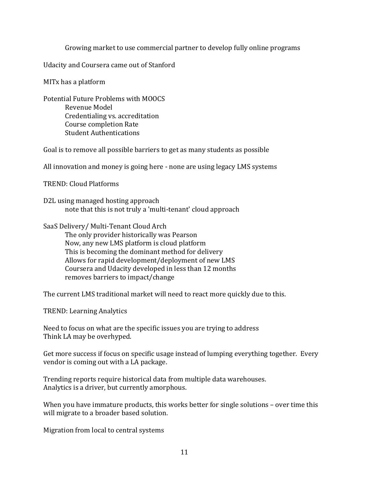Growing market to use commercial partner to develop fully online programs

Udacity and Coursera came out of Stanford

MITx has a platform

Potential Future Problems with MOOCS Revenue Model Credentialing vs. accreditation Course completion Rate Student Authentications

Goal is to remove all possible barriers to get as many students as possible

All innovation and money is going here - none are using legacy LMS systems

TREND: Cloud Platforms

D2L using managed hosting approach note that this is not truly a 'multi-tenant' cloud approach

SaaS Delivery/ Multi-Tenant Cloud Arch The only provider historically was Pearson Now, any new LMS platform is cloud platform This is becoming the dominant method for delivery Allows for rapid development/deployment of new LMS Coursera and Udacity developed in less than 12 months removes barriers to impact/change

The current LMS traditional market will need to react more quickly due to this.

TREND: Learning Analytics

Need to focus on what are the specific issues you are trying to address Think LA may be overhyped.

Get more success if focus on specific usage instead of lumping everything together. Every vendor is coming out with a LA package.

Trending reports require historical data from multiple data warehouses. Analytics is a driver, but currently amorphous.

When you have immature products, this works better for single solutions - over time this will migrate to a broader based solution.

Migration from local to central systems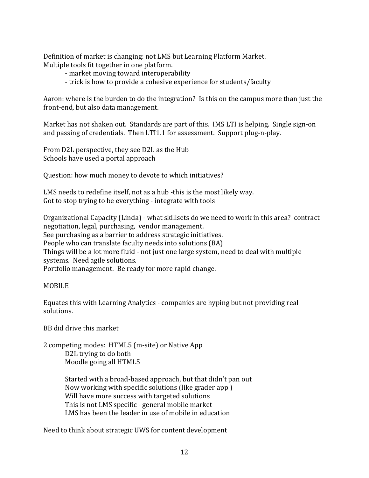Definition of market is changing: not LMS but Learning Platform Market. Multiple tools fit together in one platform.

- market moving toward interoperability
- trick is how to provide a cohesive experience for students/faculty

Aaron: where is the burden to do the integration? Is this on the campus more than just the front-end, but also data management.

Market has not shaken out. Standards are part of this. IMS LTI is helping. Single sign-on and passing of credentials. Then LTI1.1 for assessment. Support plug-n-play.

From D2L perspective, they see D2L as the Hub Schools have used a portal approach

Question: how much money to devote to which initiatives?

LMS needs to redefine itself, not as a hub -this is the most likely way. Got to stop trying to be everything - integrate with tools

Organizational Capacity (Linda) - what skillsets do we need to work in this area? contract negotiation, legal, purchasing, vendor management. See purchasing as a barrier to address strategic initiatives. People who can translate faculty needs into solutions (BA) Things will be a lot more fluid - not just one large system, need to deal with multiple systems. Need agile solutions. Portfolio management. Be ready for more rapid change.

### MOBILE

Equates this with Learning Analytics - companies are hyping but not providing real solutions.

BB did drive this market

2 competing modes: HTML5 (m-site) or Native App D2L trying to do both Moodle going all HTML5

> Started with a broad-based approach, but that didn't pan out Now working with specific solutions (like grader app ) Will have more success with targeted solutions This is not LMS specific - general mobile market LMS has been the leader in use of mobile in education

Need to think about strategic UWS for content development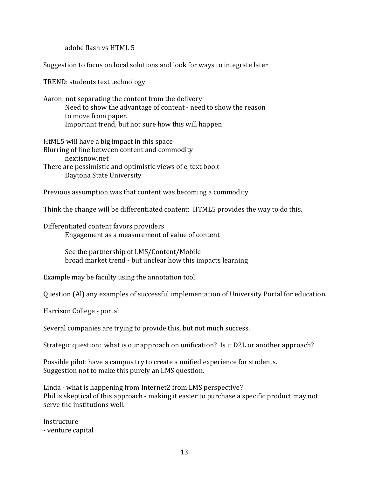adobe flash vs HTML 5

Suggestion to focus on local solutions and look for ways to integrate later

TREND: students text technology

Aaron: not separating the content from the delivery Need to show the advantage of content - need to show the reason to move from paper. Important trend, but not sure how this will happen

HtML5 will have a big impact in this space Blurring of line between content and commodity [nextisnow.net](http://nextisnow.net/) There are pessimistic and optimistic views of e-text book Daytona State University

Previous assumption was that content was becoming a commodity

Think the change will be differentiated content: HTML5 provides the way to do this.

Differentiated content favors providers Engagement as a measurement of value of content

> See the partnership of LMS/Content/Mobile broad market trend - but unclear how this impacts learning

Example may be faculty using the annotation tool

Question (Al) any examples of successful implementation of University Portal for education.

Harrison College - portal

Several companies are trying to provide this, but not much success.

Strategic question: what is our approach on unification? Is it D2L or another approach?

Possible pilot: have a campus try to create a unified experience for students. Suggestion not to make this purely an LMS question.

Linda - what is happening from Internet2 from LMS perspective? Phil is skeptical of this approach - making it easier to purchase a specific product may not serve the institutions well.

Instructure - venture capital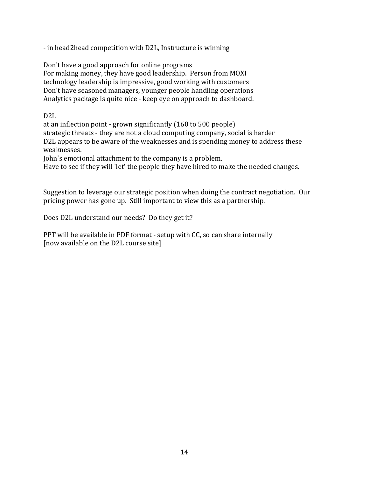- in head2head competition with D2L, Instructure is winning

Don't have a good approach for online programs For making money, they have good leadership. Person from MOXI technology leadership is impressive, good working with customers Don't have seasoned managers, younger people handling operations Analytics package is quite nice - keep eye on approach to dashboard.

D2L

at an inflection point - grown significantly (160 to 500 people) strategic threats - they are not a cloud computing company, social is harder D2L appears to be aware of the weaknesses and is spending money to address these weaknesses.

John's emotional attachment to the company is a problem.

Have to see if they will 'let' the people they have hired to make the needed changes.

Suggestion to leverage our strategic position when doing the contract negotiation. Our pricing power has gone up. Still important to view this as a partnership.

Does D2L understand our needs? Do they get it?

PPT will be available in PDF format - setup with CC, so can share internally [now available on the D2L course site]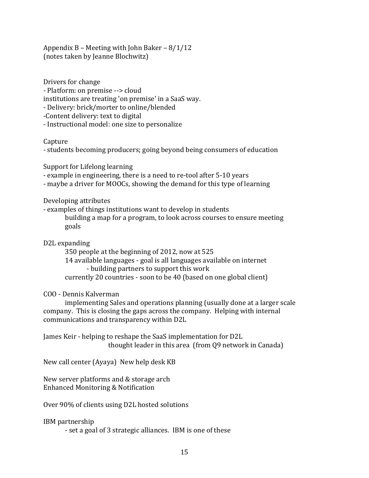Appendix B – Meeting with John Baker – 8/1/12 (notes taken by Jeanne Blochwitz)

Drivers for change - Platform: on premise --> cloud institutions are treating 'on premise' in a SaaS way.

- Delivery: brick/morter to online/blended

-Content delivery: text to digital

- Instructional model: one size to personalize

Capture

- students becoming producers; going beyond being consumers of education

Support for Lifelong learning

- example in engineering, there is a need to re-tool after 5-10 years

- maybe a driver for MOOCs, showing the demand for this type of learning

Developing attributes

- examples of things institutions want to develop in students building a map for a program, to look across courses to ensure meeting goals

D2L expanding

350 people at the beginning of 2012, now at 525

14 available languages - goal is all languages available on internet - building partners to support this work

currently 20 countries - soon to be 40 (based on one global client)

COO - Dennis Kalverman

implementing Sales and operations planning (usually done at a larger scale company. This is closing the gaps across the company. Helping with internal communications and transparency within D2L

James Keir - helping to reshape the SaaS implementation for D2L thought leader in this area (from Q9 network in Canada)

New call center (Ayaya) New help desk KB

New server platforms and & storage arch Enhanced Monitoring & Notification

Over 90% of clients using D2L hosted solutions

IBM partnership

- set a goal of 3 strategic alliances. IBM is one of these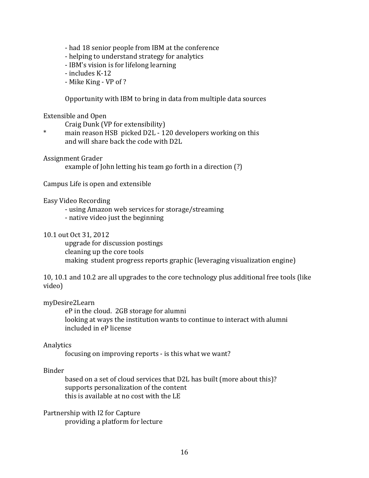- had 18 senior people from IBM at the conference
- helping to understand strategy for analytics
- IBM's vision is for lifelong learning
- includes K-12
- Mike King VP of ?

Opportunity with IBM to bring in data from multiple data sources

#### Extensible and Open

Craig Dunk (VP for extensibility)

\* main reason HSB picked D2L - 120 developers working on this and will share back the code with D2L

Assignment Grader

example of John letting his team go forth in a direction (?)

Campus Life is open and extensible

#### Easy Video Recording

- using Amazon web services for storage/streaming
- native video just the beginning

#### 10.1 out Oct 31, 2012

upgrade for discussion postings cleaning up the core tools making student progress reports graphic (leveraging visualization engine)

10, 10.1 and 10.2 are all upgrades to the core technology plus additional free tools (like video)

#### myDesire2Learn

eP in the cloud. 2GB storage for alumni looking at ways the institution wants to continue to interact with alumni included in eP license

#### Analytics

focusing on improving reports - is this what we want?

#### Binder

based on a set of cloud services that D2L has built (more about this)? supports personalization of the content this is available at no cost with the LE

Partnership with I2 for Capture providing a platform for lecture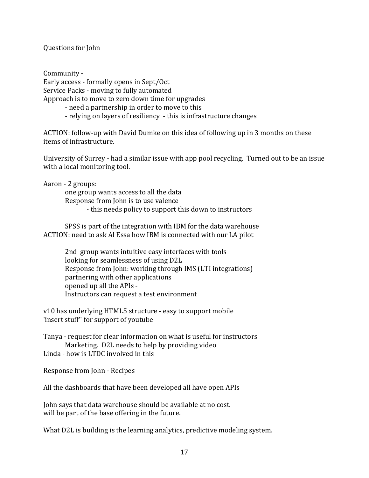Questions for John

Community - Early access - formally opens in Sept/Oct Service Packs - moving to fully automated Approach is to move to zero down time for upgrades

- need a partnership in order to move to this

- relying on layers of resiliency - this is infrastructure changes

ACTION: follow-up with David Dumke on this idea of following up in 3 months on these items of infrastructure.

University of Surrey - had a similar issue with app pool recycling. Turned out to be an issue with a local monitoring tool.

Aaron - 2 groups:

one group wants access to all the data Response from John is to use valence - this needs policy to support this down to instructors

SPSS is part of the integration with IBM for the data warehouse ACTION: need to ask Al Essa how IBM is connected with our LA pilot

2nd group wants intuitive easy interfaces with tools looking for seamlessness of using D2L Response from John: working through IMS (LTI integrations) partnering with other applications opened up all the APIs - Instructors can request a test environment

v10 has underlying HTML5 structure - easy to support mobile 'insert stuff'' for support of youtube

Tanya - request for clear information on what is useful for instructors Marketing. D2L needs to help by providing video Linda - how is LTDC involved in this

Response from John - Recipes

All the dashboards that have been developed all have open APIs

John says that data warehouse should be available at no cost. will be part of the base offering in the future.

What D2L is building is the learning analytics, predictive modeling system.